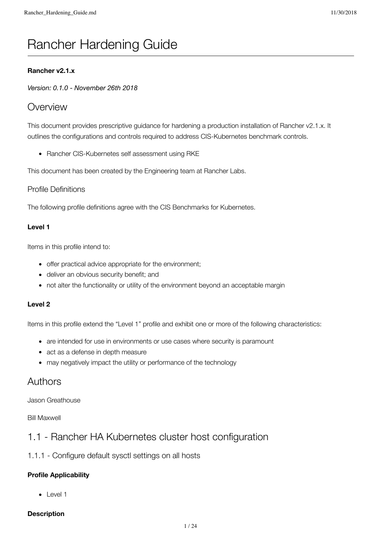# Rancher Hardening Guide

#### **Rancher v2.1.x**

*Version: 0.1.0 - November 26th 2018*

## **Overview**

This document provides prescriptive guidance for hardening a production installation of Rancher v2.1.x. It outlines the configurations and controls required to address CIS-Kubernetes benchmark controls.

• Rancher CIS-Kubernetes self assessment using RKE

This document has been created by the Engineering team at Rancher Labs.

#### Profile Definitions

The following profile definitions agree with the CIS Benchmarks for Kubernetes.

#### **Level 1**

Items in this profile intend to:

- offer practical advice appropriate for the environment;
- deliver an obvious security benefit; and
- not alter the functionality or utility of the environment beyond an acceptable margin

#### **Level 2**

Items in this profile extend the "Level 1" profile and exhibit one or more of the following characteristics:

- are intended for use in environments or use cases where security is paramount
- act as a defense in depth measure
- may negatively impact the utility or performance of the technology

## Authors

Jason Greathouse

Bill Maxwell

## 1.1 - Rancher HA Kubernetes cluster host configuration

#### 1.1.1 - Configure default sysctl settings on all hosts

#### **Profile Applicability**

• Level 1

#### **Description**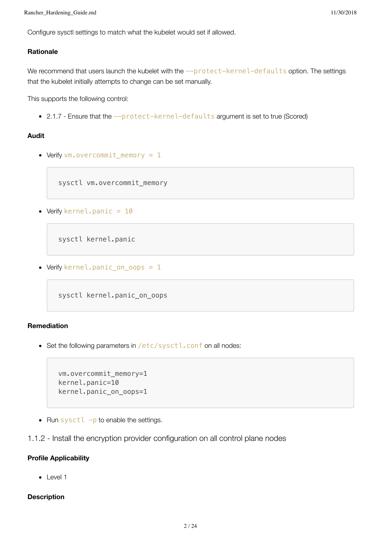Configure sysctl settings to match what the kubelet would set if allowed.

#### **Rationale**

We recommend that users launch the kubelet with the --protect-kernel-defaults option. The settings that the kubelet initially attempts to change can be set manually.

This supports the following control:

• 2.1.7 - Ensure that the --protect-kernel-defaults argument is set to true (Scored)

#### **Audit**

• Verify vm.overcommit\_memory = 1

sysctl vm.overcommit\_memory

• Verify kernel.panic = 10

sysctl kernel.panic

• Verify kernel.panic\_on\_oops = 1

sysctl kernel.panic\_on\_oops

#### **Remediation**

• Set the following parameters in /etc/sysctl.conf on all nodes:

```
vm.overcommit_memory=1
kernel.panic=10
kernel.panic_on_oops=1
```
• Run sysctl  $-p$  to enable the settings.

#### 1.1.2 - Install the encryption provider configuration on all control plane nodes

#### **Profile Applicability**

• Level 1

#### **Description**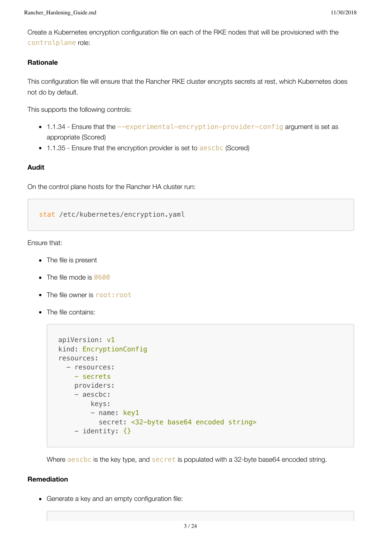Create a Kubernetes encryption configuration file on each of the RKE nodes that will be provisioned with the controlplane role:

#### **Rationale**

This configuration file will ensure that the Rancher RKE cluster encrypts secrets at rest, which Kubernetes does not do by default.

This supports the following controls:

- 1.1.34 Ensure that the --experimental-encryption-provider-config argument is set as appropriate (Scored)
- 1.1.35 Ensure that the encryption provider is set to aeschc (Scored)

#### **Audit**

On the control plane hosts for the Rancher HA cluster run:

stat /etc/kubernetes/encryption.yaml

Ensure that:

- The file is present
- The file mode is 0600
- The file owner is root: root
- The file contains:

```
apiVersion: v1
kind: EncryptionConfig
resources:
   - resources:
     - secrets
     providers:
     - aescbc:
         keys:
         - name: key1
            secret: <32-byte base64 encoded string>
    - identity: {}
```
Where aeschc is the key type, and secret is populated with a 32-byte base64 encoded string.

#### **Remediation**

Generate a key and an empty configuration file: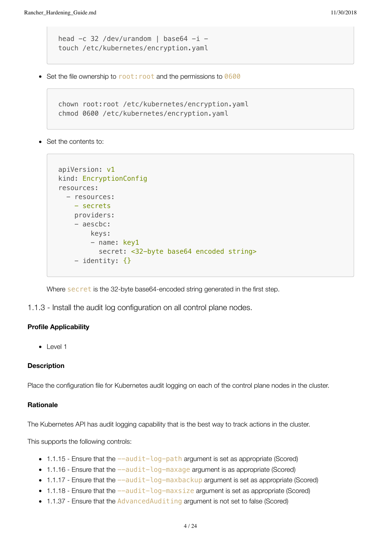```
head -c 32 /dev/urandom | base64 -i -
touch /etc/kubernetes/encryption.yaml
```
• Set the file ownership to root: root and the permissions to 0600

```
chown root:root /etc/kubernetes/encryption.yaml
chmod 0600 /etc/kubernetes/encryption.yaml
```
Set the contents to:

```
apiVersion: v1
kind: EncryptionConfig
resources:
   - resources:
     - secrets
     providers:
     - aescbc:
         keys:
        - name: key1
            secret: <32-byte base64 encoded string>
    - identity: \{\}
```
Where secret is the 32-byte base64-encoded string generated in the first step.

1.1.3 - Install the audit log configuration on all control plane nodes.

#### **Profile Applicability**

• Level 1

#### **Description**

Place the configuration file for Kubernetes audit logging on each of the control plane nodes in the cluster.

#### **Rationale**

The Kubernetes API has audit logging capability that is the best way to track actions in the cluster.

This supports the following controls:

- $\bullet$  1.1.15 Ensure that the  $--audit-log-path$  argument is set as appropriate (Scored)
- $\bullet$  1.1.16 Ensure that the  $-\text{audit-log-maxage}$  argument is as appropriate (Scored)
- $\bullet$  1.1.17 Ensure that the  $--audit-log-maxbackup$  argument is set as appropriate (Scored)
- $\bullet$  1.1.18 Ensure that the  $-\text{audit-log-maxsize}$  argument is set as appropriate (Scored)
- 1.1.37 Ensure that the AdvancedAuditing argument is not set to false (Scored)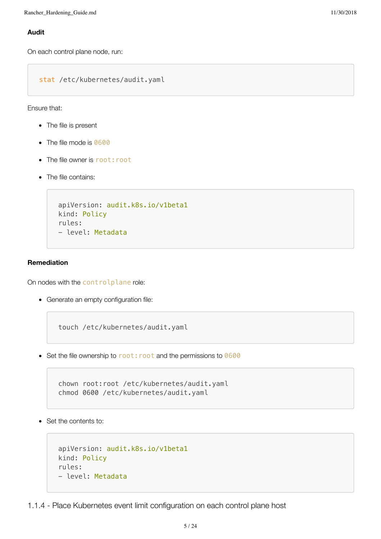#### **Audit**

On each control plane node, run:

stat /etc/kubernetes/audit.yaml

Ensure that:

- The file is present
- The file mode is 0600
- The file owner is root: root
- The file contains:

```
apiVersion: audit.k8s.io/v1beta1
kind: Policy
rules:
- level: Metadata
```
#### **Remediation**

On nodes with the controlplane role:

Generate an empty configuration file:

touch /etc/kubernetes/audit.yaml

• Set the file ownership to root: root and the permissions to 0600

chown root:root /etc/kubernetes/audit.yaml chmod 0600 /etc/kubernetes/audit.yaml

• Set the contents to:

```
apiVersion: audit.k8s.io/v1beta1
kind: Policy
rules:
- level: Metadata
```
1.1.4 - Place Kubernetes event limit configuration on each control plane host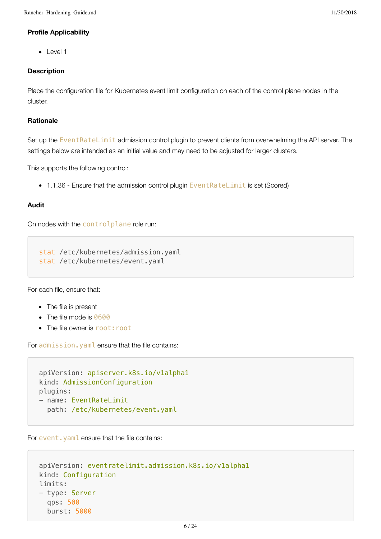#### **Profile Applicability**

• Level 1

#### **Description**

Place the configuration file for Kubernetes event limit configuration on each of the control plane nodes in the cluster.

#### **Rationale**

Set up the EventRateLimit admission control plugin to prevent clients from overwhelming the API server. The settings below are intended as an initial value and may need to be adjusted for larger clusters.

This supports the following control:

• 1.1.36 - Ensure that the admission control plugin EventRateLimit is set (Scored)

#### **Audit**

On nodes with the controlplane role run:

stat /etc/kubernetes/admission.yaml stat /etc/kubernetes/event.yaml

For each file, ensure that:

- The file is present
- The file mode is 0600
- The file owner is root: root

For admission.yaml ensure that the file contains:

```
apiVersion: apiserver.k8s.io/v1alpha1
kind: AdmissionConfiguration
plugins:
- name: EventRateLimit
   path: /etc/kubernetes/event.yaml
```
For event, yaml ensure that the file contains:

```
apiVersion: eventratelimit.admission.k8s.io/v1alpha1
kind: Configuration
limits:
- type: Server
  qps: 500
   burst: 5000
```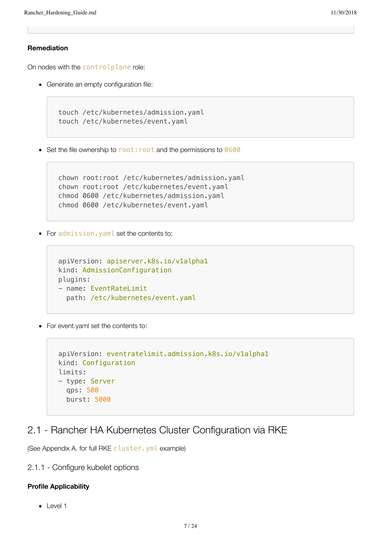#### **Remediation**

On nodes with the controlplane role:

Generate an empty configuration file:

```
touch /etc/kubernetes/admission.yaml
touch /etc/kubernetes/event.yaml
```
• Set the file ownership to root: root and the permissions to 0600

```
chown root:root /etc/kubernetes/admission.yaml
chown root:root /etc/kubernetes/event.yaml
chmod 0600 /etc/kubernetes/admission.yaml
chmod 0600 /etc/kubernetes/event.yaml
```
• For admission. yaml set the contents to:

```
apiVersion: apiserver.k8s.io/v1alpha1
kind: AdmissionConfiguration
plugins:
- name: EventRateLimit
   path: /etc/kubernetes/event.yaml
```
• For event.yaml set the contents to:

```
apiVersion: eventratelimit.admission.k8s.io/v1alpha1
kind: Configuration
limits:
- type: Server
  qps: 500
  burst: 5000
```
## 2.1 - Rancher HA Kubernetes Cluster Configuration via RKE

(See Appendix A. for full RKE cluster.yml example)

2.1.1 - Configure kubelet options

#### **Profile Applicability**

• Level 1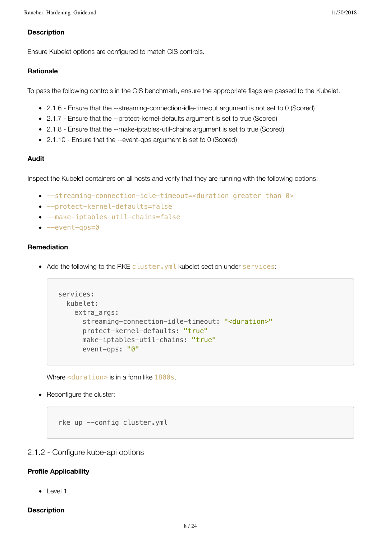#### **Description**

Ensure Kubelet options are configured to match CIS controls.

#### **Rationale**

To pass the following controls in the CIS benchmark, ensure the appropriate flags are passed to the Kubelet.

- 2.1.6 Ensure that the --streaming-connection-idle-timeout argument is not set to 0 (Scored)
- 2.1.7 Ensure that the --protect-kernel-defaults argument is set to true (Scored)
- 2.1.8 Ensure that the --make-iptables-util-chains argument is set to true (Scored)
- 2.1.10 Ensure that the --event-qps argument is set to 0 (Scored)

#### **Audit**

Inspect the Kubelet containers on all hosts and verify that they are running with the following options:

- --streaming-connection-idle-timeout=<duration greater than 0>
- --protect-kernel-defaults=false
- --make-iptables-util-chains=false
- $\bullet$  --event-qps=0

#### **Remediation**

• Add the following to the RKE cluster. yml kubelet section under services:

```
services:
   kubelet:
     extra_args:
       streaming-connection-idle-timeout: "<duration>"
       protect-kernel-defaults: "true"
       make-iptables-util-chains: "true"
       event-qps: "0"
```
Where <duration> is in a form like 1800s.

• Reconfigure the cluster:

rke up --config cluster.yml

#### 2.1.2 - Configure kube-api options

#### **Profile Applicability**

 $\bullet$  Level 1

#### **Description**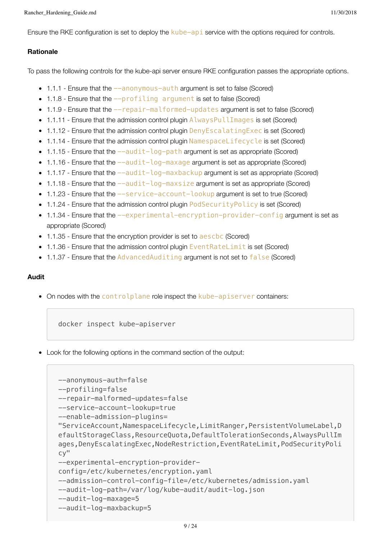Ensure the RKE configuration is set to deploy the kube-api service with the options required for controls.

#### **Rationale**

To pass the following controls for the kube-api server ensure RKE configuration passes the appropriate options.

- 1.1.1 Ensure that the  $-$ -anonymous-auth argument is set to false (Scored)
- 1.1.8 Ensure that the  $-$ -profiling argument is set to false (Scored)
- $\bullet$  1.1.9 Ensure that the  $-$ repair-malformed-updates argument is set to false (Scored)
- 1.1.11 Ensure that the admission control plugin AlwaysPullImages is set (Scored)
- 1.1.12 Ensure that the admission control plugin DenyEscalatingExec is set (Scored)
- 1.1.14 Ensure that the admission control plugin NamespaceLifecycle is set (Scored)
- $\bullet$  1.1.15 Ensure that the  $-\text{audit-log-path}$  argument is set as appropriate (Scored)
- $\bullet$  1.1.16 Ensure that the  $--audit-log-maxage$  argument is set as appropriate (Scored)
- $\bullet$  1.1.17 Ensure that the  $-\text{audit-log-maxbackup}$  argument is set as appropriate (Scored)
- 1.1.18 Ensure that the  $--audit-log-maxsize$  argument is set as appropriate (Scored)
- 1.1.23 Ensure that the  $-$ -service-account-lookup argument is set to true (Scored)
- $\bullet$  1.1.24 Ensure that the admission control plugin PodSecurityPolicy is set (Scored)
- $\bullet$  1.1.34 Ensure that the  $-$ -experimental-encryption-provider-config argument is set as appropriate (Scored)
- 1.1.35 Ensure that the encryption provider is set to aeschc (Scored)
- 1.1.36 Ensure that the admission control plugin EventRateLimit is set (Scored)
- 1.1.37 Ensure that the AdvancedAuditing argument is not set to false (Scored)

#### **Audit**

• On nodes with the controlplane role inspect the kube-apiserver containers:

docker inspect kube-apiserver

Look for the following options in the command section of the output:

```
--anonymous-auth=false
--profiling=false
--repair-malformed-updates=false
--service-account-lookup=true
--enable-admission-plugins=
"ServiceAccount,NamespaceLifecycle,LimitRanger,PersistentVolumeLabel,D
efaultStorageClass,ResourceQuota,DefaultTolerationSeconds,AlwaysPullIm
ages,DenyEscalatingExec,NodeRestriction,EventRateLimit,PodSecurityPoli
cy"
--experimental-encryption-provider-
config=/etc/kubernetes/encryption.yaml
--admission-control-config-file=/etc/kubernetes/admission.yaml
--audit-log-path=/var/log/kube-audit/audit-log.json
--audit-log-maxage=5
--audit-log-maxbackup=5
```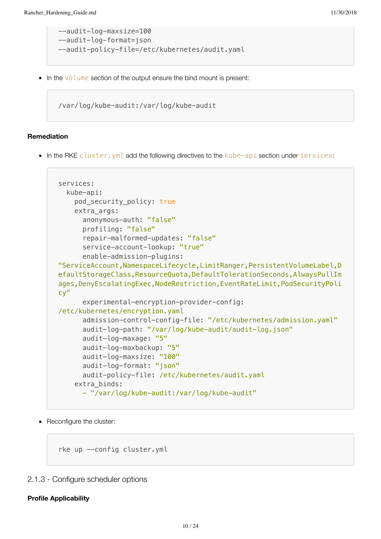```
--audit-log-maxsize=100
--audit-log-format=json
--audit-policy-file=/etc/kubernetes/audit.yaml
```
• In the volume section of the output ensure the bind mount is present:

/var/log/kube-audit:/var/log/kube-audit

#### **Remediation**

• In the RKE cluster.yml add the following directives to the kube-api section under services:

```
services:
  kube-api:
     pod_security_policy: true
     extra_args:
       anonymous-auth: "false"
       profiling: "false"
       repair-malformed-updates: "false"
       service-account-lookup: "true"
       enable-admission-plugins:
"ServiceAccount,NamespaceLifecycle,LimitRanger,PersistentVolumeLabel,D
efaultStorageClass,ResourceQuota,DefaultTolerationSeconds,AlwaysPullIm
ages,DenyEscalatingExec,NodeRestriction,EventRateLimit,PodSecurityPoli
cy"
       experimental-encryption-provider-config:
/etc/kubernetes/encryption.yaml
       admission-control-config-file: "/etc/kubernetes/admission.yaml"
       audit-log-path: "/var/log/kube-audit/audit-log.json"
       audit-log-maxage: "5"
       audit-log-maxbackup: "5"
       audit-log-maxsize: "100"
       audit-log-format: "json"
       audit-policy-file: /etc/kubernetes/audit.yaml
     extra_binds:
       - "/var/log/kube-audit:/var/log/kube-audit"
```
• Reconfigure the cluster:

rke up -- config cluster.yml

#### 2.1.3 - Configure scheduler options

#### **Profile Applicability**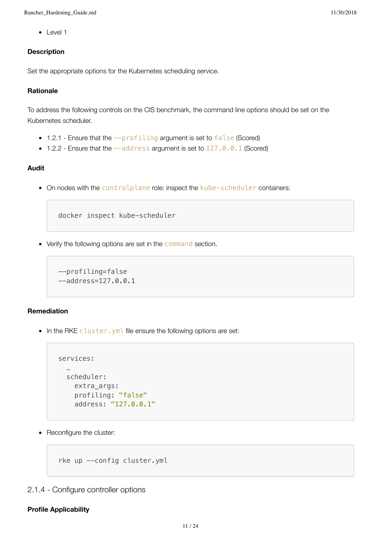• Level 1

#### **Description**

Set the appropriate options for the Kubernetes scheduling service.

#### **Rationale**

To address the following controls on the CIS benchmark, the command line options should be set on the Kubernetes scheduler.

- 1.2.1 Ensure that the  $-\text{profiting}$  argument is set to false (Scored)
- $\bullet$  1.2.2 Ensure that the  $-\text{address}$  argument is set to  $127.0.0.1$  (Scored)

#### **Audit**

• On nodes with the controlplane role: inspect the kube-scheduler containers:

```
docker inspect kube-scheduler
```
• Verify the following options are set in the command section.

```
--profiling=false
--address=127.0.0.1
```
#### **Remediation**

• In the RKE cluster. yml file ensure the following options are set:

```
services:
   …
   scheduler:
     extra_args:
     profiling: "false"
     address: "127.0.0.1"
```
• Reconfigure the cluster:

rke up --config cluster.yml

### 2.1.4 - Configure controller options

#### **Profile Applicability**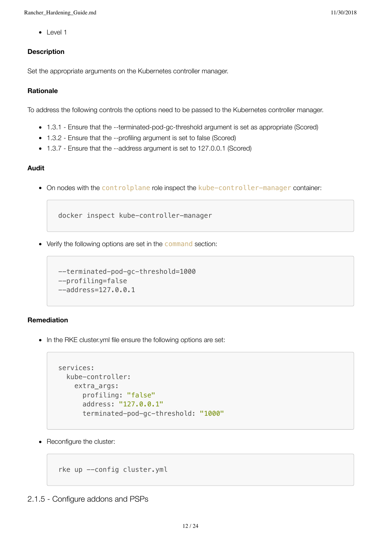• Level 1

#### **Description**

Set the appropriate arguments on the Kubernetes controller manager.

#### **Rationale**

To address the following controls the options need to be passed to the Kubernetes controller manager.

- 1.3.1 Ensure that the --terminated-pod-gc-threshold argument is set as appropriate (Scored)
- 1.3.2 Ensure that the --profiling argument is set to false (Scored)
- 1.3.7 Ensure that the --address argument is set to 127.0.0.1 (Scored)

#### **Audit**

• On nodes with the controlplane role inspect the kube-controller-manager container:

docker inspect kube-controller-manager

• Verify the following options are set in the command section:

```
--terminated-pod-gc-threshold=1000
--profiling=false
--address=127.0.0.1
```
#### **Remediation**

• In the RKE cluster.yml file ensure the following options are set:

```
services:
   kube-controller:
     extra_args:
       profiling: "false"
       address: "127.0.0.1"
       terminated-pod-gc-threshold: "1000"
```
• Reconfigure the cluster:

```
rke up --config cluster.yml
```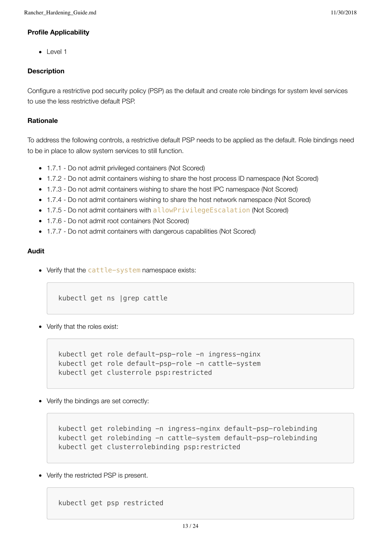#### **Profile Applicability**

• Level 1

#### **Description**

Configure a restrictive pod security policy (PSP) as the default and create role bindings for system level services to use the less restrictive default PSP.

#### **Rationale**

To address the following controls, a restrictive default PSP needs to be applied as the default. Role bindings need to be in place to allow system services to still function.

- 1.7.1 Do not admit privileged containers (Not Scored)
- 1.7.2 Do not admit containers wishing to share the host process ID namespace (Not Scored)
- 1.7.3 Do not admit containers wishing to share the host IPC namespace (Not Scored)
- 1.7.4 Do not admit containers wishing to share the host network namespace (Not Scored)
- 1.7.5 Do not admit containers with allowPrivilegeEscalation (Not Scored)
- 1.7.6 Do not admit root containers (Not Scored)
- 1.7.7 Do not admit containers with dangerous capabilities (Not Scored)

#### **Audit**

• Verify that the cattle-system namespace exists:

kubectl get ns |grep cattle

• Verify that the roles exist:

kubectl get role default-psp-role -n ingress-nginx kubectl get role default-psp-role -n cattle-system kubectl get clusterrole psp:restricted

Verify the bindings are set correctly:

kubectl get rolebinding -n ingress-nginx default-psp-rolebinding kubectl get rolebinding -n cattle-system default-psp-rolebinding kubectl get clusterrolebinding psp:restricted

• Verify the restricted PSP is present.

kubectl get psp restricted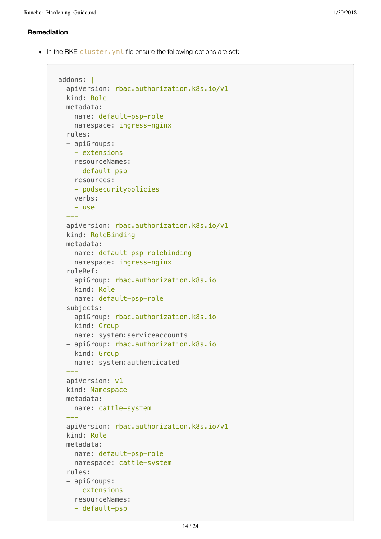#### **Remediation**

• In the RKE cluster. yml file ensure the following options are set:

```
addons: |
   apiVersion: rbac.authorization.k8s.io/v1
   kind: Role
   metadata:
     name: default-psp-role
     namespace: ingress-nginx
   rules:
   - apiGroups:
    - extensions
     resourceNames:
     - default-psp
     resources:
     - podsecuritypolicies
     verbs:
    - use
 ---
   apiVersion: rbac.authorization.k8s.io/v1
   kind: RoleBinding
   metadata:
     name: default-psp-rolebinding
     namespace: ingress-nginx
   roleRef:
     apiGroup: rbac.authorization.k8s.io
     kind: Role
     name: default-psp-role
   subjects:
   - apiGroup: rbac.authorization.k8s.io
    kind: Group
     name: system:serviceaccounts
   - apiGroup: rbac.authorization.k8s.io
     kind: Group
     name: system:authenticated
 ---
   apiVersion: v1
   kind: Namespace
   metadata:
     name: cattle-system
 ---
   apiVersion: rbac.authorization.k8s.io/v1
   kind: Role
   metadata:
     name: default-psp-role
     namespace: cattle-system
   rules:
   - apiGroups:
     - extensions
     resourceNames:
     - default-psp
```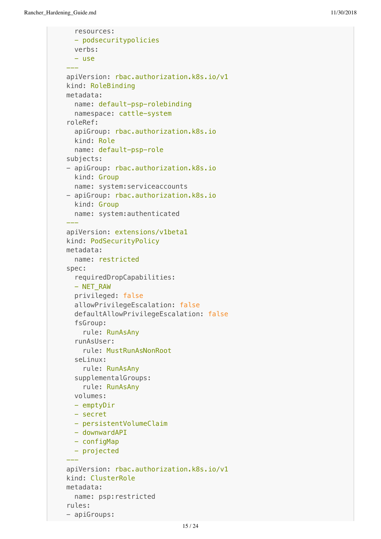```
 resources:
     - podsecuritypolicies
    verbs:
     - use
 ---
  apiVersion: rbac.authorization.k8s.io/v1
  kind: RoleBinding
  metadata:
     name: default-psp-rolebinding
    namespace: cattle-system
  roleRef:
    apiGroup: rbac.authorization.k8s.io
    kind: Role
    name: default-psp-role
  subjects:
  - apiGroup: rbac.authorization.k8s.io
    kind: Group
    name: system:serviceaccounts
  - apiGroup: rbac.authorization.k8s.io
     kind: Group
    name: system:authenticated
 ---
  apiVersion: extensions/v1beta1
  kind: PodSecurityPolicy
  metadata:
    name: restricted
  spec:
     requiredDropCapabilities:
     - NET_RAW
    privileged: false
    allowPrivilegeEscalation: false
     defaultAllowPrivilegeEscalation: false
     fsGroup:
       rule: RunAsAny
     runAsUser:
       rule: MustRunAsNonRoot
     seLinux:
       rule: RunAsAny
     supplementalGroups:
       rule: RunAsAny
    volumes:
     - emptyDir
     - secret
     - persistentVolumeClaim
    - downwardAPI
     - configMap
     - projected
 ---
  apiVersion: rbac.authorization.k8s.io/v1
  kind: ClusterRole
  metadata:
    name: psp:restricted
  rules:
  - apiGroups:
```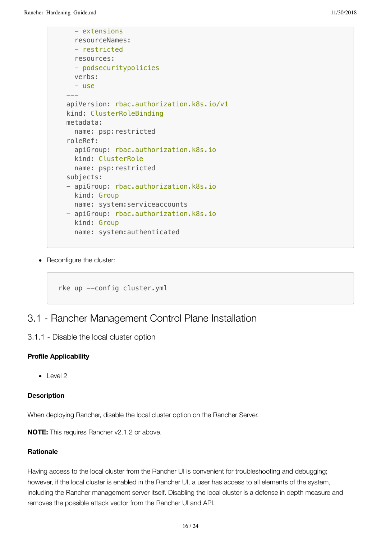```
 - extensions
     resourceNames:
     - restricted
     resources:
     - podsecuritypolicies
     verbs:
     - use
 ---
  apiVersion: rbac.authorization.k8s.io/v1
  kind: ClusterRoleBinding
  metadata:
    name: psp:restricted
  roleRef:
     apiGroup: rbac.authorization.k8s.io
     kind: ClusterRole
     name: psp:restricted
  subjects:
  - apiGroup: rbac.authorization.k8s.io
    kind: Group
     name: system:serviceaccounts
  - apiGroup: rbac.authorization.k8s.io
     kind: Group
     name: system:authenticated
```
• Reconfigure the cluster:

```
rke up --config cluster.yml
```
## 3.1 - Rancher Management Control Plane Installation

3.1.1 - Disable the local cluster option

#### **Profile Applicability**

 $\bullet$  Level 2

#### **Description**

When deploying Rancher, disable the local cluster option on the Rancher Server.

**NOTE:** This requires Rancher v2.1.2 or above.

#### **Rationale**

Having access to the local cluster from the Rancher UI is convenient for troubleshooting and debugging; however, if the local cluster is enabled in the Rancher UI, a user has access to all elements of the system, including the Rancher management server itself. Disabling the local cluster is a defense in depth measure and removes the possible attack vector from the Rancher UI and API.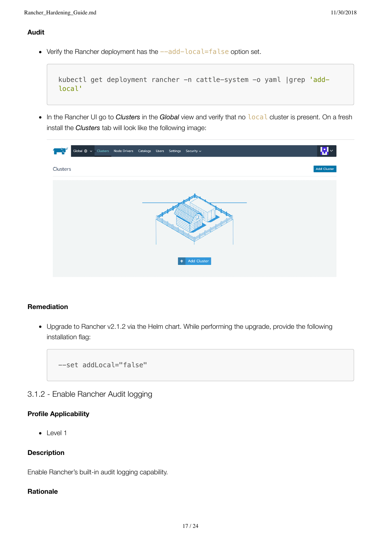#### **Audit**

• Verify the Rancher deployment has the  $--add-local=False$  option set.

```
kubectl get deployment rancher -n cattle-system -o yaml |grep 'add-
local'
```
In the Rancher UI go to *Clusters* in the *Global* view and verify that no local cluster is present. On a fresh install the *Clusters* tab will look like the following image:

|          |  | Global $\circledast \mathsf{v}$ Clusters Node Drivers Catalogs Users Settings Security $\mathsf{v}$ |  |           |             | Ų.                 |
|----------|--|-----------------------------------------------------------------------------------------------------|--|-----------|-------------|--------------------|
| Clusters |  |                                                                                                     |  |           |             | <b>Add Cluster</b> |
|          |  |                                                                                                     |  |           |             |                    |
|          |  |                                                                                                     |  |           |             |                    |
|          |  |                                                                                                     |  |           |             |                    |
|          |  |                                                                                                     |  |           |             |                    |
|          |  |                                                                                                     |  |           |             |                    |
|          |  |                                                                                                     |  | $\ddot{}$ | Add Cluster |                    |

#### **Remediation**

Upgrade to Rancher v2.1.2 via the Helm chart. While performing the upgrade, provide the following installation flag:

--set addLocal="false"

3.1.2 - Enable Rancher Audit logging

#### **Profile Applicability**

 $\bullet$  Level 1

#### **Description**

Enable Rancher's built-in audit logging capability.

#### **Rationale**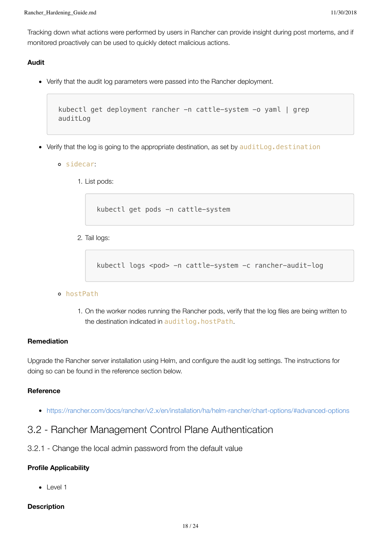Tracking down what actions were performed by users in Rancher can provide insight during post mortems, and if monitored proactively can be used to quickly detect malicious actions.

#### **Audit**

Verify that the audit log parameters were passed into the Rancher deployment.

```
kubectl get deployment rancher -n cattle-system -o yaml | grep
auditLog
```
- Verify that the log is going to the appropriate destination, as set by **auditLog.destination** 
	- sidecar:
		- 1. List pods:

kubectl get pods -n cattle-system

2. Tail logs:

kubectl logs <pod> -n cattle-system -c rancher-audit-log

#### hostPath

1. On the worker nodes running the Rancher pods, verify that the log files are being written to the destination indicated in auditlog.hostPath.

#### **Remediation**

Upgrade the Rancher server installation using Helm, and configure the audit log settings. The instructions for doing so can be found in the reference section below.

#### **Reference**

<https://rancher.com/docs/rancher/v2.x/en/installation/ha/helm-rancher/chart-options/#advanced-options>

## 3.2 - Rancher Management Control Plane Authentication

3.2.1 - Change the local admin password from the default value

#### **Profile Applicability**

 $\bullet$  Level 1

#### **Description**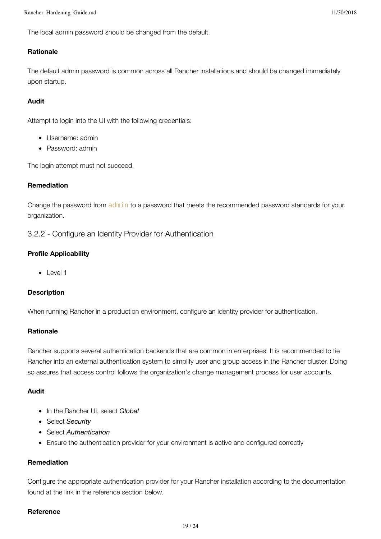The local admin password should be changed from the default.

#### **Rationale**

The default admin password is common across all Rancher installations and should be changed immediately upon startup.

#### **Audit**

Attempt to login into the UI with the following credentials:

- Username: admin
- Password: admin

The login attempt must not succeed.

#### **Remediation**

Change the password from admin to a password that meets the recommended password standards for your organization.

3.2.2 - Configure an Identity Provider for Authentication

#### **Profile Applicability**

• Level 1

#### **Description**

When running Rancher in a production environment, configure an identity provider for authentication.

#### **Rationale**

Rancher supports several authentication backends that are common in enterprises. It is recommended to tie Rancher into an external authentication system to simplify user and group access in the Rancher cluster. Doing so assures that access control follows the organization's change management process for user accounts.

#### **Audit**

- In the Rancher UI, select *Global*
- Select *Security*
- Select *Authentication*
- Ensure the authentication provider for your environment is active and configured correctly

#### **Remediation**

Configure the appropriate authentication provider for your Rancher installation according to the documentation found at the link in the reference section below.

#### **Reference**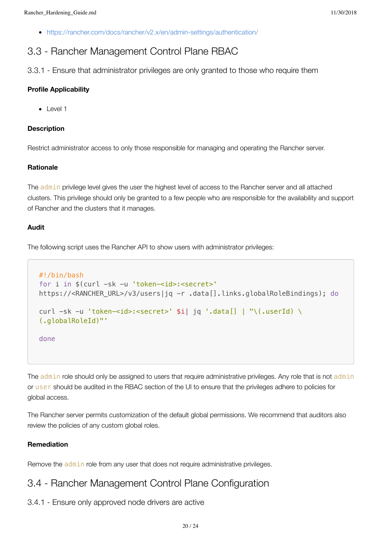<https://rancher.com/docs/rancher/v2.x/en/admin-settings/authentication/>

## 3.3 - Rancher Management Control Plane RBAC

3.3.1 - Ensure that administrator privileges are only granted to those who require them

#### **Profile Applicability**

• Level 1

#### **Description**

Restrict administrator access to only those responsible for managing and operating the Rancher server.

#### **Rationale**

The admin privilege level gives the user the highest level of access to the Rancher server and all attached clusters. This privilege should only be granted to a few people who are responsible for the availability and support of Rancher and the clusters that it manages.

#### **Audit**

The following script uses the Rancher API to show users with administrator privileges:

```
#!/bin/bash
for i in $(curl -sk -u 'token-<id>:<secret>'
https://<RANCHER_URL>/v3/users|jq -r .data[].links.globalRoleBindings); do
curl -sk -u 'token-<id>:<secret>' $i| jq '.data[] | "\(.userId) \
(.globalRoleId)"'
done
```
The admin role should only be assigned to users that require administrative privileges. Any role that is not admin or user should be audited in the RBAC section of the UI to ensure that the privileges adhere to policies for global access.

The Rancher server permits customization of the default global permissions. We recommend that auditors also review the policies of any custom global roles.

#### **Remediation**

Remove the admin role from any user that does not require administrative privileges.

### 3.4 - Rancher Management Control Plane Configuration

3.4.1 - Ensure only approved node drivers are active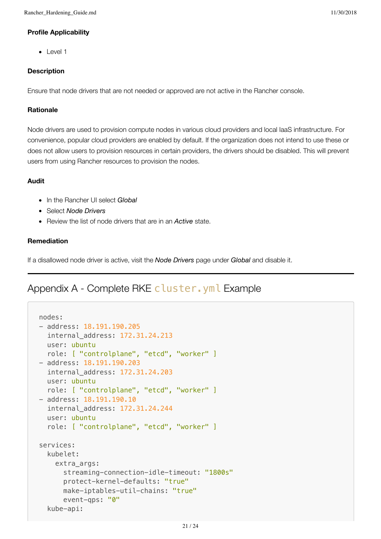#### **Profile Applicability**

• Level 1

#### **Description**

Ensure that node drivers that are not needed or approved are not active in the Rancher console.

#### **Rationale**

Node drivers are used to provision compute nodes in various cloud providers and local IaaS infrastructure. For convenience, popular cloud providers are enabled by default. If the organization does not intend to use these or does not allow users to provision resources in certain providers, the drivers should be disabled. This will prevent users from using Rancher resources to provision the nodes.

#### **Audit**

- In the Rancher UI select *Global*
- Select *Node Drivers*
- Review the list of node drivers that are in an *Active* state.

#### **Remediation**

If a disallowed node driver is active, visit the *Node Drivers* page under *Global* and disable it.

## Appendix A - Complete RKE cluster. yml Example

```
nodes:
- address: 18.191.190.205
   internal_address: 172.31.24.213
   user: ubuntu
   role: [ "controlplane", "etcd", "worker" ]
- address: 18.191.190.203
   internal_address: 172.31.24.203
   user: ubuntu
   role: [ "controlplane", "etcd", "worker" ]
- address: 18.191.190.10
   internal_address: 172.31.24.244
   user: ubuntu
   role: [ "controlplane", "etcd", "worker" ]
services:
   kubelet:
     extra_args:
       streaming-connection-idle-timeout: "1800s"
       protect-kernel-defaults: "true"
       make-iptables-util-chains: "true"
       event-qps: "0"
   kube-api:
```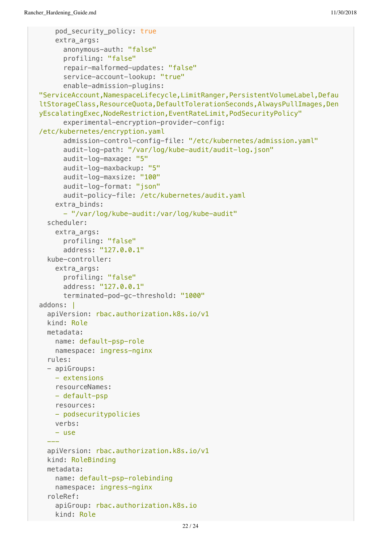```
 pod_security_policy: true
     extra_args:
       anonymous-auth: "false"
       profiling: "false"
       repair-malformed-updates: "false"
       service-account-lookup: "true"
       enable-admission-plugins:
"ServiceAccount,NamespaceLifecycle,LimitRanger,PersistentVolumeLabel,Defau
ltStorageClass,ResourceQuota,DefaultTolerationSeconds,AlwaysPullImages,Den
yEscalatingExec,NodeRestriction,EventRateLimit,PodSecurityPolicy"
       experimental-encryption-provider-config:
/etc/kubernetes/encryption.yaml
       admission-control-config-file: "/etc/kubernetes/admission.yaml"
       audit-log-path: "/var/log/kube-audit/audit-log.json"
       audit-log-maxage: "5"
       audit-log-maxbackup: "5"
       audit-log-maxsize: "100"
       audit-log-format: "json"
       audit-policy-file: /etc/kubernetes/audit.yaml
     extra_binds:
       - "/var/log/kube-audit:/var/log/kube-audit"
   scheduler:
     extra_args:
       profiling: "false"
       address: "127.0.0.1"
   kube-controller:
     extra_args:
       profiling: "false"
       address: "127.0.0.1"
       terminated-pod-gc-threshold: "1000"
addons: |
   apiVersion: rbac.authorization.k8s.io/v1
   kind: Role
   metadata:
     name: default-psp-role
     namespace: ingress-nginx
   rules:
   - apiGroups:
     - extensions
     resourceNames:
     - default-psp
     resources:
     - podsecuritypolicies
     verbs:
    - use
 ---
   apiVersion: rbac.authorization.k8s.io/v1
   kind: RoleBinding
   metadata:
     name: default-psp-rolebinding
     namespace: ingress-nginx
   roleRef:
     apiGroup: rbac.authorization.k8s.io
     kind: Role
```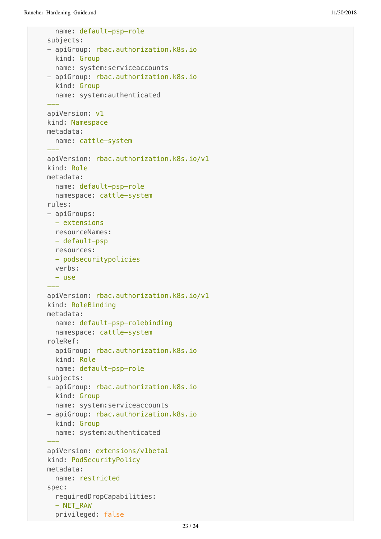```
 name: default-psp-role
  subjects:
  - apiGroup: rbac.authorization.k8s.io
     kind: Group
     name: system:serviceaccounts
  - apiGroup: rbac.authorization.k8s.io
     kind: Group
     name: system:authenticated
 ---
  apiVersion: v1
  kind: Namespace
  metadata:
     name: cattle-system
 ---
  apiVersion: rbac.authorization.k8s.io/v1
  kind: Role
  metadata:
     name: default-psp-role
     namespace: cattle-system
  rules:
  - apiGroups:
     - extensions
    resourceNames:
    - default-psp
    resources:
    - podsecuritypolicies
    verbs:
   - use
 ---
  apiVersion: rbac.authorization.k8s.io/v1
  kind: RoleBinding
  metadata:
     name: default-psp-rolebinding
     namespace: cattle-system
  roleRef:
     apiGroup: rbac.authorization.k8s.io
     kind: Role
     name: default-psp-role
  subjects:
  - apiGroup: rbac.authorization.k8s.io
    kind: Group
     name: system:serviceaccounts
  - apiGroup: rbac.authorization.k8s.io
    kind: Group
     name: system:authenticated
 ---
  apiVersion: extensions/v1beta1
  kind: PodSecurityPolicy
  metadata:
     name: restricted
  spec:
     requiredDropCapabilities:
     - NET_RAW
```
privileged: false